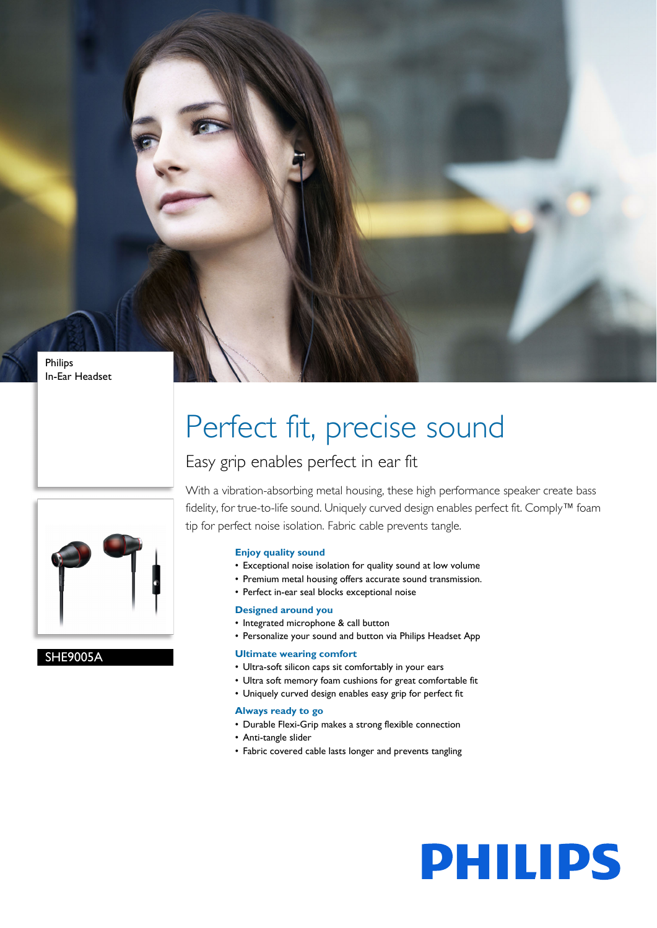

```
In-Ear Headset
```
## Perfect fit, precise sound

### Easy grip enables perfect in ear fit



SHE9005A

With a vibration-absorbing metal housing, these high performance speaker create bass fidelity, for true-to-life sound. Uniquely curved design enables perfect fit. Comply™ foam tip for perfect noise isolation. Fabric cable prevents tangle.

#### **Enjoy quality sound**

- Exceptional noise isolation for quality sound at low volume
- Premium metal housing offers accurate sound transmission.
- Perfect in-ear seal blocks exceptional noise

#### **Designed around you**

- Integrated microphone & call button
- Personalize your sound and button via Philips Headset App

#### **Ultimate wearing comfort**

- Ultra-soft silicon caps sit comfortably in your ears
- Ultra soft memory foam cushions for great comfortable fit
- Uniquely curved design enables easy grip for perfect fit

#### **Always ready to go**

- Durable Flexi-Grip makes a strong flexible connection
- Anti-tangle slider
- Fabric covered cable lasts longer and prevents tangling

# **PHILIPS**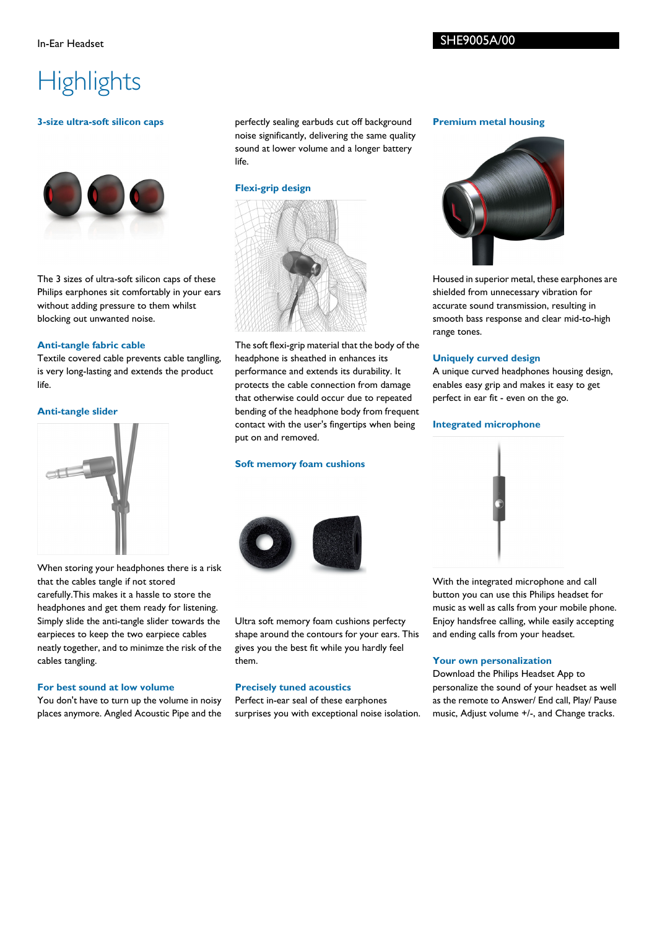#### SHE9005A/00

### **Highlights**

#### **3-size ultra-soft silicon caps**



The 3 sizes of ultra-soft silicon caps of these Philips earphones sit comfortably in your ears without adding pressure to them whilst blocking out unwanted noise.

#### **Anti-tangle fabric cable**

Textile covered cable prevents cable tanglling, is very long-lasting and extends the product life.

#### **Anti-tangle slider**



When storing your headphones there is a risk that the cables tangle if not stored carefully.This makes it a hassle to store the headphones and get them ready for listening. Simply slide the anti-tangle slider towards the earpieces to keep the two earpiece cables neatly together, and to minimze the risk of the cables tangling.

#### **For best sound at low volume**

You don't have to turn up the volume in noisy places anymore. Angled Acoustic Pipe and the perfectly sealing earbuds cut off background noise significantly, delivering the same quality sound at lower volume and a longer battery life.

#### **Flexi-grip design**



The soft flexi-grip material that the body of the headphone is sheathed in enhances its performance and extends its durability. It protects the cable connection from damage that otherwise could occur due to repeated bending of the headphone body from frequent contact with the user's fingertips when being put on and removed.

#### **Soft memory foam cushions**



Ultra soft memory foam cushions perfecty shape around the contours for your ears. This gives you the best fit while you hardly feel them.

#### **Precisely tuned acoustics**

Perfect in-ear seal of these earphones surprises you with exceptional noise isolation.

#### **Premium metal housing**



Housed in superior metal, these earphones are shielded from unnecessary vibration for accurate sound transmission, resulting in smooth bass response and clear mid-to-high range tones.

#### **Uniquely curved design**

A unique curved headphones housing design, enables easy grip and makes it easy to get perfect in ear fit - even on the go.

#### **Integrated microphone**



With the integrated microphone and call button you can use this Philips headset for music as well as calls from your mobile phone. Enjoy handsfree calling, while easily accepting and ending calls from your headset.

#### **Your own personalization**

Download the Philips Headset App to personalize the sound of your headset as well as the remote to Answer/ End call, Play/ Pause music, Adjust volume +/-, and Change tracks.